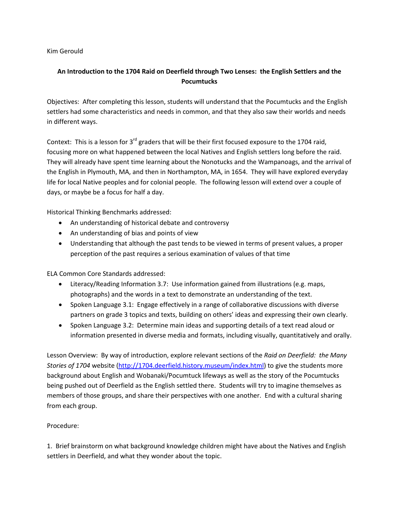Kim Gerould

## **An Introduction to the 1704 Raid on Deerfield through Two Lenses: the English Settlers and the Pocumtucks**

Objectives: After completing this lesson, students will understand that the Pocumtucks and the English settlers had some characteristics and needs in common, and that they also saw their worlds and needs in different ways.

Context: This is a lesson for 3<sup>rd</sup> graders that will be their first focused exposure to the 1704 raid, focusing more on what happened between the local Natives and English settlers long before the raid. They will already have spent time learning about the Nonotucks and the Wampanoags, and the arrival of the English in Plymouth, MA, and then in Northampton, MA, in 1654. They will have explored everyday life for local Native peoples and for colonial people. The following lesson will extend over a couple of days, or maybe be a focus for half a day.

Historical Thinking Benchmarks addressed:

- An understanding of historical debate and controversy
- An understanding of bias and points of view
- Understanding that although the past tends to be viewed in terms of present values, a proper perception of the past requires a serious examination of values of that time

ELA Common Core Standards addressed:

- Literacy/Reading Information 3.7: Use information gained from illustrations (e.g. maps, photographs) and the words in a text to demonstrate an understanding of the text.
- Spoken Language 3.1: Engage effectively in a range of collaborative discussions with diverse partners on grade 3 topics and texts, building on others' ideas and expressing their own clearly.
- Spoken Language 3.2: Determine main ideas and supporting details of a text read aloud or information presented in diverse media and formats, including visually, quantitatively and orally.

Lesson Overview: By way of introduction, explore relevant sections of the *Raid on Deerfield: the Many Stories of 1704* website [\(http://1704.deerfield.history.museum/index.html\)](http://1704.deerfield.history.museum/index.html) to give the students more background about English and Wobanaki/Pocumtuck lifeways as well as the story of the Pocumtucks being pushed out of Deerfield as the English settled there. Students will try to imagine themselves as members of those groups, and share their perspectives with one another. End with a cultural sharing from each group.

## Procedure:

1. Brief brainstorm on what background knowledge children might have about the Natives and English settlers in Deerfield, and what they wonder about the topic.